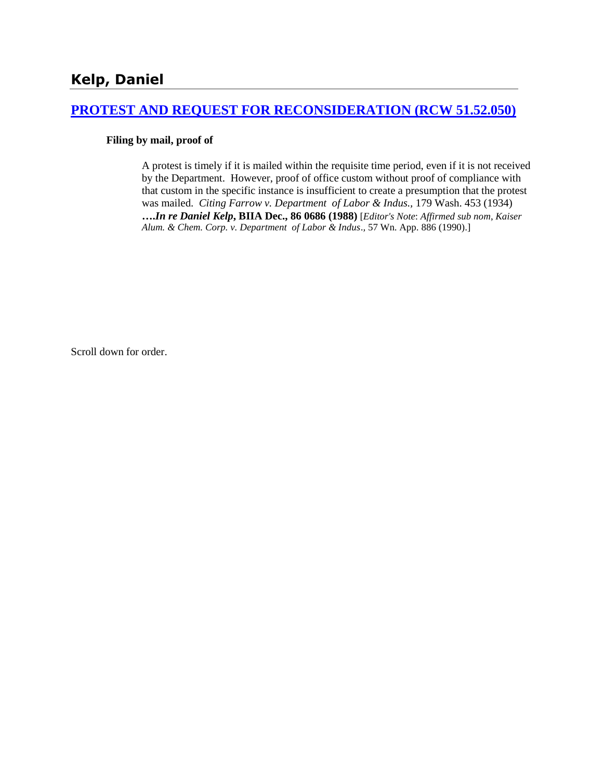# **[PROTEST AND REQUEST FOR RECONSIDERATION \(RCW 51.52.050\)](http://www.biia.wa.gov/SDSubjectIndex.html#PROTEST_AND_REQUEST_FOR_RECONSIDERATION)**

### **Filing by mail, proof of**

A protest is timely if it is mailed within the requisite time period, even if it is not received by the Department. However, proof of office custom without proof of compliance with that custom in the specific instance is insufficient to create a presumption that the protest was mailed. *Citing Farrow v. Department of Labor & Indus.,* 179 Wash. 453 (1934) **….***In re Daniel Kelp***, BIIA Dec., 86 0686 (1988)** [*Editor's Note*: *Affirmed sub nom*, *Kaiser Alum. & Chem. Corp. v. Department of Labor & Indus*.*,* 57 Wn. App. 886 (1990).]

Scroll down for order.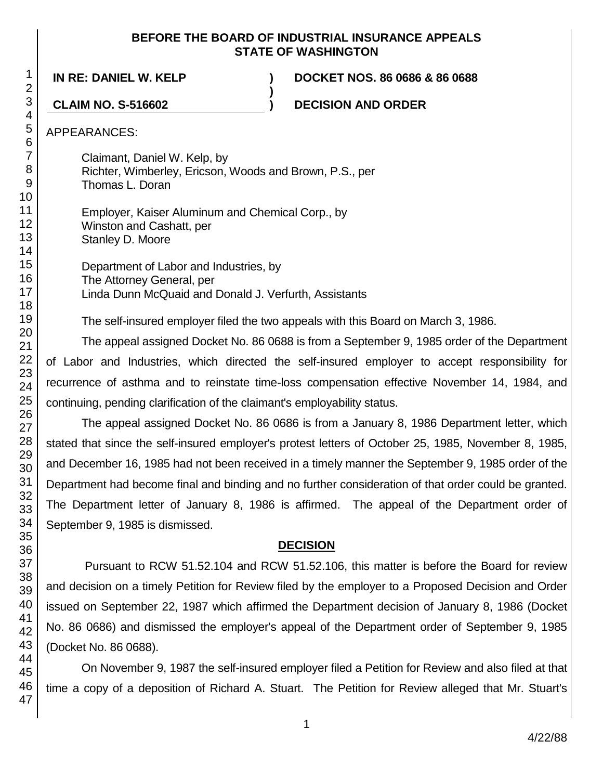### **BEFORE THE BOARD OF INDUSTRIAL INSURANCE APPEALS STATE OF WASHINGTON**

**)**

**IN RE: DANIEL W. KELP ) DOCKET NOS. 86 0686 & 86 0688**

**CLAIM NO. S-516602 ) DECISION AND ORDER**

APPEARANCES:

Claimant, Daniel W. Kelp, by Richter, Wimberley, Ericson, Woods and Brown, P.S., per Thomas L. Doran

Employer, Kaiser Aluminum and Chemical Corp., by Winston and Cashatt, per Stanley D. Moore

Department of Labor and Industries, by The Attorney General, per Linda Dunn McQuaid and Donald J. Verfurth, Assistants

The self-insured employer filed the two appeals with this Board on March 3, 1986.

The appeal assigned Docket No. 86 0688 is from a September 9, 1985 order of the Department of Labor and Industries, which directed the self-insured employer to accept responsibility for recurrence of asthma and to reinstate time-loss compensation effective November 14, 1984, and continuing, pending clarification of the claimant's employability status.

The appeal assigned Docket No. 86 0686 is from a January 8, 1986 Department letter, which stated that since the self-insured employer's protest letters of October 25, 1985, November 8, 1985, and December 16, 1985 had not been received in a timely manner the September 9, 1985 order of the Department had become final and binding and no further consideration of that order could be granted. The Department letter of January 8, 1986 is affirmed. The appeal of the Department order of September 9, 1985 is dismissed.

# **DECISION**

Pursuant to RCW 51.52.104 and RCW 51.52.106, this matter is before the Board for review and decision on a timely Petition for Review filed by the employer to a Proposed Decision and Order issued on September 22, 1987 which affirmed the Department decision of January 8, 1986 (Docket No. 86 0686) and dismissed the employer's appeal of the Department order of September 9, 1985 (Docket No. 86 0688).

On November 9, 1987 the self-insured employer filed a Petition for Review and also filed at that time a copy of a deposition of Richard A. Stuart. The Petition for Review alleged that Mr. Stuart's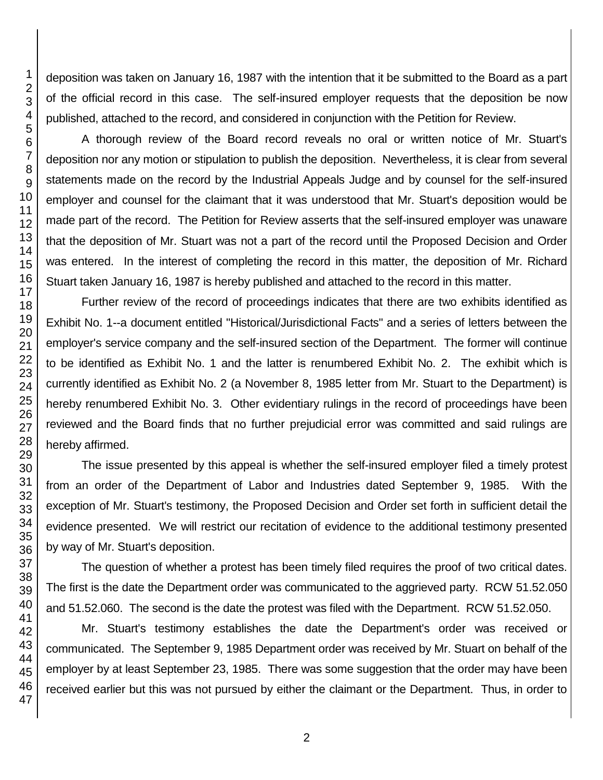deposition was taken on January 16, 1987 with the intention that it be submitted to the Board as a part of the official record in this case. The self-insured employer requests that the deposition be now published, attached to the record, and considered in conjunction with the Petition for Review.

A thorough review of the Board record reveals no oral or written notice of Mr. Stuart's deposition nor any motion or stipulation to publish the deposition. Nevertheless, it is clear from several statements made on the record by the Industrial Appeals Judge and by counsel for the self-insured employer and counsel for the claimant that it was understood that Mr. Stuart's deposition would be made part of the record. The Petition for Review asserts that the self-insured employer was unaware that the deposition of Mr. Stuart was not a part of the record until the Proposed Decision and Order was entered. In the interest of completing the record in this matter, the deposition of Mr. Richard Stuart taken January 16, 1987 is hereby published and attached to the record in this matter.

Further review of the record of proceedings indicates that there are two exhibits identified as Exhibit No. 1--a document entitled "Historical/Jurisdictional Facts" and a series of letters between the employer's service company and the self-insured section of the Department. The former will continue to be identified as Exhibit No. 1 and the latter is renumbered Exhibit No. 2. The exhibit which is currently identified as Exhibit No. 2 (a November 8, 1985 letter from Mr. Stuart to the Department) is hereby renumbered Exhibit No. 3. Other evidentiary rulings in the record of proceedings have been reviewed and the Board finds that no further prejudicial error was committed and said rulings are hereby affirmed.

The issue presented by this appeal is whether the self-insured employer filed a timely protest from an order of the Department of Labor and Industries dated September 9, 1985. With the exception of Mr. Stuart's testimony, the Proposed Decision and Order set forth in sufficient detail the evidence presented. We will restrict our recitation of evidence to the additional testimony presented by way of Mr. Stuart's deposition.

The question of whether a protest has been timely filed requires the proof of two critical dates. The first is the date the Department order was communicated to the aggrieved party. RCW 51.52.050 and 51.52.060. The second is the date the protest was filed with the Department. RCW 51.52.050.

Mr. Stuart's testimony establishes the date the Department's order was received or communicated. The September 9, 1985 Department order was received by Mr. Stuart on behalf of the employer by at least September 23, 1985. There was some suggestion that the order may have been received earlier but this was not pursued by either the claimant or the Department. Thus, in order to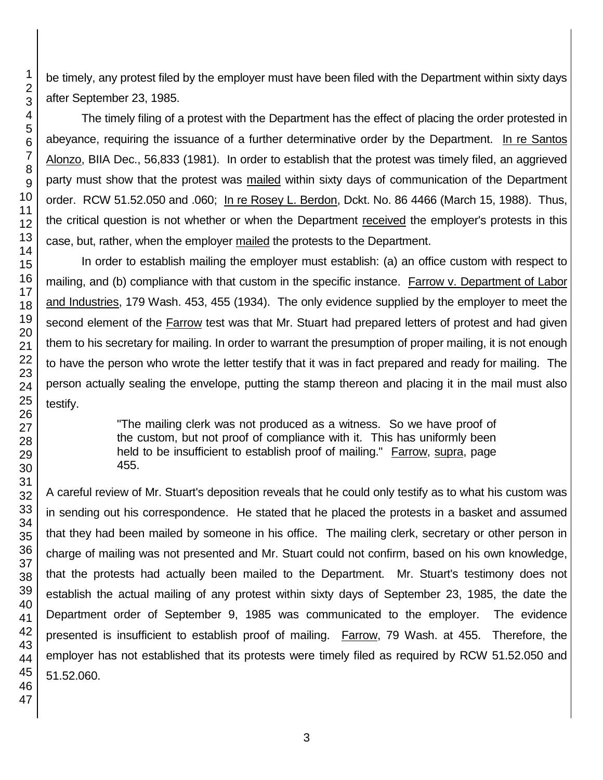be timely, any protest filed by the employer must have been filed with the Department within sixty days after September 23, 1985.

The timely filing of a protest with the Department has the effect of placing the order protested in abeyance, requiring the issuance of a further determinative order by the Department. In re Santos Alonzo, BIIA Dec., 56,833 (1981). In order to establish that the protest was timely filed, an aggrieved party must show that the protest was mailed within sixty days of communication of the Department order. RCW 51.52.050 and .060; In re Rosey L. Berdon, Dckt. No. 86 4466 (March 15, 1988). Thus, the critical question is not whether or when the Department received the employer's protests in this case, but, rather, when the employer mailed the protests to the Department.

In order to establish mailing the employer must establish: (a) an office custom with respect to mailing, and (b) compliance with that custom in the specific instance. Farrow v. Department of Labor and Industries, 179 Wash. 453, 455 (1934). The only evidence supplied by the employer to meet the second element of the **Farrow** test was that Mr. Stuart had prepared letters of protest and had given them to his secretary for mailing. In order to warrant the presumption of proper mailing, it is not enough to have the person who wrote the letter testify that it was in fact prepared and ready for mailing. The person actually sealing the envelope, putting the stamp thereon and placing it in the mail must also testify.

> "The mailing clerk was not produced as a witness. So we have proof of the custom, but not proof of compliance with it. This has uniformly been held to be insufficient to establish proof of mailing." Farrow, supra, page 455.

A careful review of Mr. Stuart's deposition reveals that he could only testify as to what his custom was in sending out his correspondence. He stated that he placed the protests in a basket and assumed that they had been mailed by someone in his office. The mailing clerk, secretary or other person in charge of mailing was not presented and Mr. Stuart could not confirm, based on his own knowledge, that the protests had actually been mailed to the Department. Mr. Stuart's testimony does not establish the actual mailing of any protest within sixty days of September 23, 1985, the date the Department order of September 9, 1985 was communicated to the employer. The evidence presented is insufficient to establish proof of mailing. Farrow, 79 Wash. at 455. Therefore, the employer has not established that its protests were timely filed as required by RCW 51.52.050 and 51.52.060.